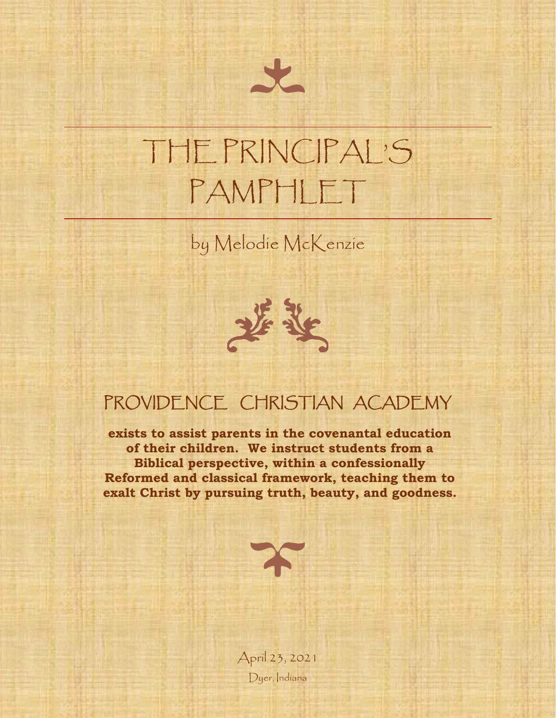# THE PRINCIPAL'S PAMPHLET

by Melodie McKenzie



### PROVIDENCE CHRISTIAN ACADEMY

**exists to assist parents in the covenantal education of their children. We instruct students from a Biblical perspective, within a confessionally Reformed and classical framework, teaching them to exalt Christ by pursuing truth, beauty, and goodness.**



April 23, 2021 Dyer, Indiana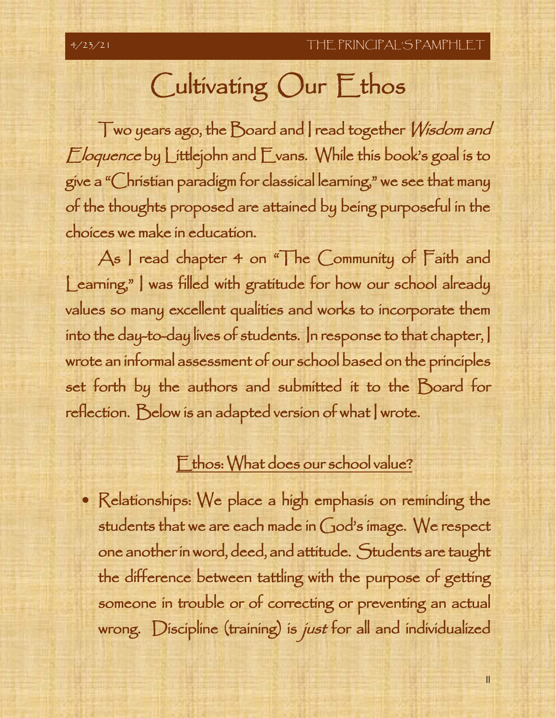# Cultivating Our Ethos

Two years ago, the Board and I read together Wisdom and Eloquence by Littlejohn and Evans. While this book's goal is to give a "Christian paradigm for classical learning," we see that many of the thoughts proposed are attained by being purposeful in the choices we make in education.

As I read chapter 4 on "The Community of Faith and Learning," I was filled with gratitude for how our school already values so many excellent qualities and works to incorporate them into the day-to-day lives of students. In response to that chapter, I wrote an informal assessment of our school based on the principles set forth by the authors and submitted it to the Board for reflection. Below is an adapted version of what wrote.

### Ethos: What does our school value?

• Relationships: We place a high emphasis on reminding the students that we are each made in God's image. We respect one another in word, deed, and attitude. Students are taught the difference between tattling with the purpose of getting someone in trouble or of correcting or preventing an actual wrong. Discipline (training) is just for all and individualized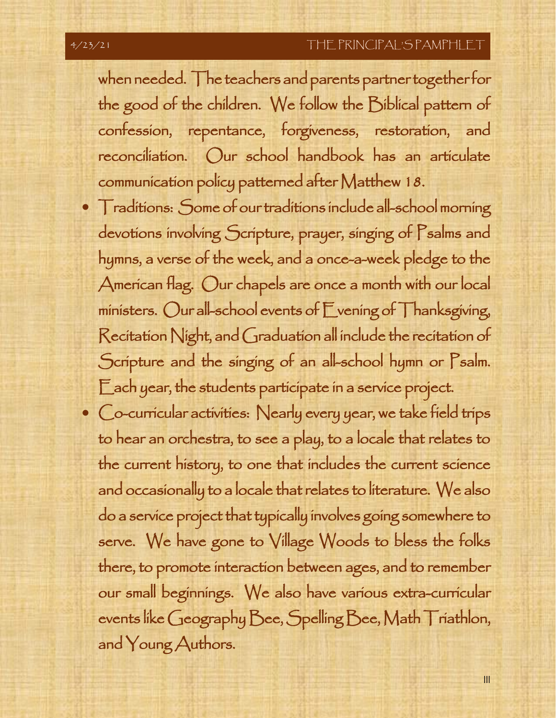when needed. The teachers and parents partner together for the good of the children. We follow the Biblical pattern of confession, repentance, forgiveness, restoration, and reconciliation. Our school handbook has an articulate communication policy patterned after Matthew 18.

- Traditions: Some of our traditions include all-school morning devotions involving Scripture, prayer, singing of Psalms and hymns, a verse of the week, and a once-a-week pledge to the American flag. Our chapels are once a month with our local ministers. Our all-school events of Evening of Thanksgiving, Recitation Night, and Graduation all include the recitation of Scripture and the singing of an all-school hymn or Psalm. Each year, the students participate in a service project.
- Co-curricular activities: Nearly every year, we take field trips to hear an orchestra, to see a play, to a locale that relates to the current history, to one that includes the current science and occasionally to a locale that relates to literature. We also do a service project that typically involves going somewhere to serve. We have gone to Village Woods to bless the folks there, to promote interaction between ages, and to remember our small beginnings. We also have various extra-curricular events like Geography Bee, Spelling Bee, Math Triathlon, and Young Authors.

III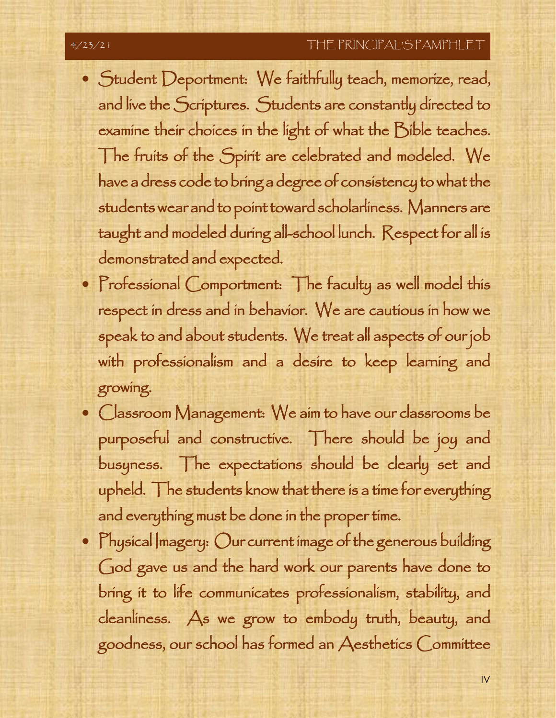#### 4/23/21 THE PRINCIPAL'S PAMPHLET

- Student Deportment: We faithfully teach, memorize, read, and live the Scriptures. Students are constantly directed to examine their choices in the light of what the Bible teaches. The fruits of the Spirit are celebrated and modeled. We have a dress code to bring a degree of consistency to what the students wear and to point toward scholarliness. Manners are taught and modeled during all-school lunch. Respect for all is demonstrated and expected.
- Professional Comportment: The faculty as well model this respect in dress and in behavior. We are cautious in how we speak to and about students. We treat all aspects of our job with professionalism and a desire to keep learning and growing.
- Classroom Management: We aim to have our classrooms be purposeful and constructive. There should be joy and busyness. The expectations should be clearly set and upheld. The students know that there is a time for everything and everything must be done in the proper time.
- Physical Imagery: Our current image of the generous building God gave us and the hard work our parents have done to bring it to life communicates professionalism, stability, and cleanliness. As we grow to embody truth, beauty, and goodness, our school has formed an Aesthetics Committee

IV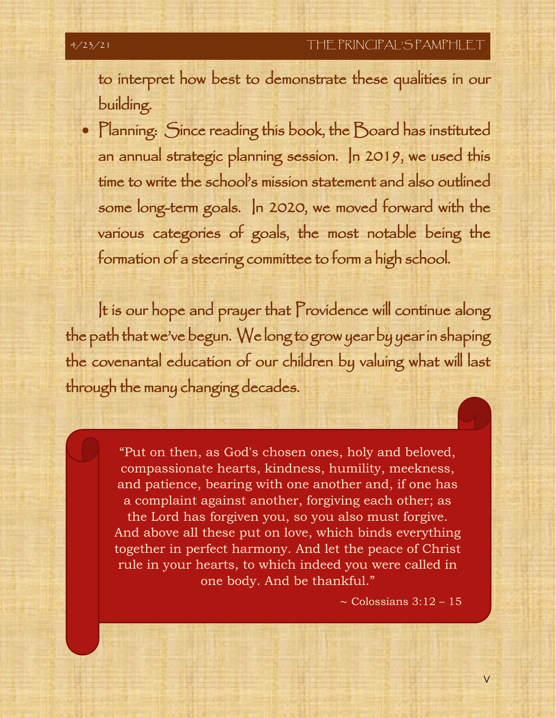to interpret how best to demonstrate these qualities in our building.

• Planning: Since reading this book, the Board has instituted an annual strategic planning session. In 2019, we used this time to write the school's mission statement and also outlined some long-term goals. In 2020, we moved forward with the various categories of goals, the most notable being the formation of a steering committee to form a high school.

It is our hope and prayer that Providence will continue along the path that we've begun. We long to grow year by year in shaping the covenantal education of our children by valuing what will last through the many changing decades.

> rule in your hearts, to which indeed you were called in "Put on then, as God's chosen ones, holy and beloved, compassionate hearts, kindness, humility, meekness, and patience, bearing with one another and, if one has a complaint against another, forgiving each other; as the Lord has forgiven you, so you also must forgive. And above all these put on love, which binds everything together in perfect harmony. And let the peace of Christ one body. And be thankful."

> > ∼ Colossians 3:12 – 15

V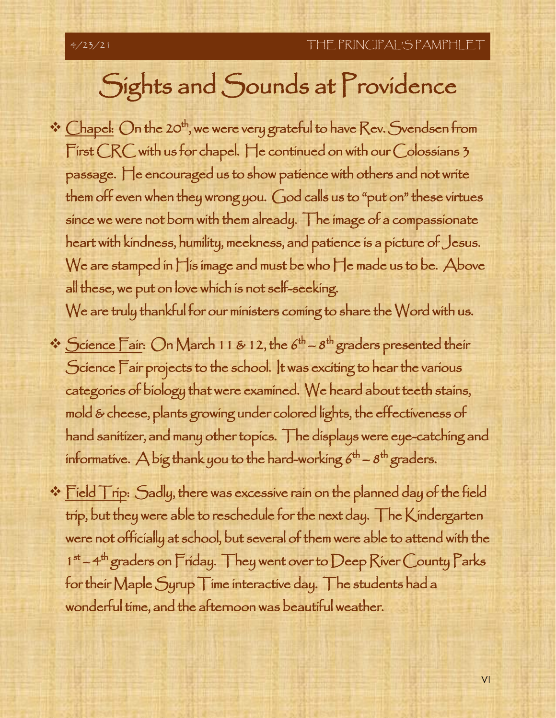# Sights and Sounds at Providence

☆ Chapel: On the 20<sup>th</sup>, we were very grateful to have Rev. Svendsen from First CRC with us for chapel. He continued on with our Colossians 3 passage. He encouraged us to show patience with others and not write them off even when they wrong you. God calls us to "put on" these virtues since we were not born with them already. The image of a compassionate heart with kindness, humility, meekness, and patience is a picture of Jesus. We are stamped in His image and must be who He made us to be. Above all these, we put on love which is not self-seeking.

We are truly thankful for our ministers coming to share the Word with us.

- $\cdot$  Science Fair: On March 11 & 12, the  $6^{\text{th}} 8^{\text{th}}$  graders presented their Science Fair projects to the school. It was exciting to hear the various categories of biology that were examined. We heard about teeth stains, mold & cheese, plants growing under colored lights, the effectiveness of hand sanitizer, and many other topics. The displays were eye-catching and informative.  $\bigtriangleup$  big thank you to the hard-working  $6^{\text{th}}$  -  $8^{\text{th}}$  graders.
- $\div$  Field Trip: Sadly, there was excessive rain on the planned day of the field trip, but they were able to reschedule for the next day. The Kindergarten were not officially at school, but several of them were able to attend with the  $1<sup>st</sup> – 4<sup>th</sup>$  graders on Friday. They went over to Deep River County Parks for their Maple Syrup Time interactive day. The students had a wonderful time, and the afternoon was beautiful weather.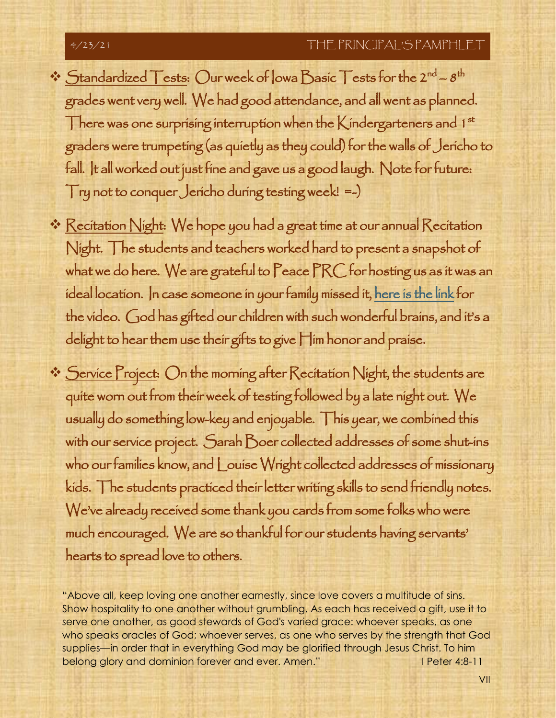### 4/23/21 THE PRINCIPAL'S PAMPHLET

- $\cdot \cdot$  Standardized Tests: Our week of lowa Basic Tests for the 2<sup>nd</sup>  $8^{\text{th}}$ grades went very well. We had good attendance, and all went as planned. There was one surprising interruption when the K indergarteners and  $1^{st}$ graders were trumpeting (as quietly as they could) for the walls of Jericho to fall. It all worked out just fine and gave us a good laugh. Note for future: Try not to conquer Jericho during testing week! =-)
- ❖ Recitation Night: We hope you had a great time at our annual Recitation Night. The students and teachers worked hard to present a snapshot of what we do here. We are grateful to Peace PRC for hosting us as it was an ideal location. In case someone in your family missed it, [here is the link](https://www.youtube.com/watch?v=YZd2mLKpN3Q) for the video. God has gifted our children with such wonderful brains, and it's a delight to hear them use their gifts to give Him honor and praise.
- ❖ <u>Service Project</u>: On the morning after Recitation Night, the students are quite worn out from their week of testing followed by a late night out. We usually do something low-key and enjoyable. This year, we combined this with our service project. Sarah Boer collected addresses of some shut-ins who our families know, and Louise Wright collected addresses of missionary kids. The students practiced their letter writing skills to send friendly notes. We've already received some thank you cards from some folks who were much encouraged. We are so thankful for our students having servants' hearts to spread love to others.

serve one another, as good stewards of God's varied grace: whoever speaks, as one<br>who speaks aracles of God: whoever serves, as one who serves by the strength that G "Above all, keep loving one another earnestly, since love covers a multitude of sins. Show hospitality to one another without grumbling. As each has received a gift, use it to who speaks oracles of God; whoever serves, as one who serves by the strength that God supplies—in order that in everything God may be glorified through Jesus Christ. To him belong glory and dominion forever and ever. Amen." I Peter 4:8-11